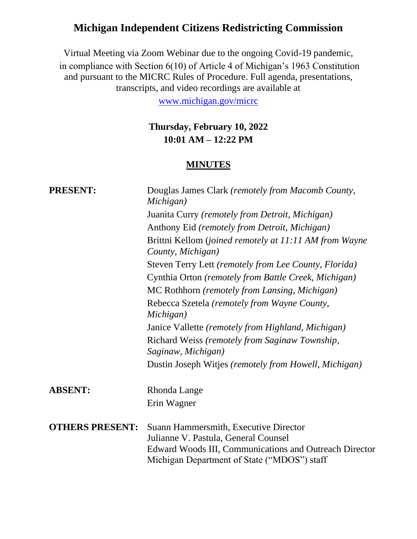# **Michigan Independent Citizens Redistricting Commission**

Virtual Meeting via Zoom Webinar due to the ongoing Covid-19 pandemic, in compliance with Section 6(10) of Article 4 of Michigan's 1963 Constitution and pursuant to the MICRC Rules of Procedure. Full agenda, presentations, transcripts, and video recordings are available at

[www.michigan.gov/micrc](http://www.michigan.gov/micrc)

## **Thursday, February 10, 2022 10:01 AM – 12:22 PM**

#### **MINUTES**

| <b>PRESENT:</b>        | Douglas James Clark (remotely from Macomb County,<br>Michigan)                                                                                                                         |
|------------------------|----------------------------------------------------------------------------------------------------------------------------------------------------------------------------------------|
|                        | Juanita Curry (remotely from Detroit, Michigan)                                                                                                                                        |
|                        | Anthony Eid (remotely from Detroit, Michigan)                                                                                                                                          |
|                        | Brittni Kellom (joined remotely at 11:11 AM from Wayne<br>County, Michigan)                                                                                                            |
|                        | Steven Terry Lett (remotely from Lee County, Florida)                                                                                                                                  |
|                        | Cynthia Orton (remotely from Battle Creek, Michigan)                                                                                                                                   |
|                        | MC Rothhorn (remotely from Lansing, Michigan)                                                                                                                                          |
|                        | Rebecca Szetela (remotely from Wayne County,<br>Michigan)                                                                                                                              |
|                        | Janice Vallette (remotely from Highland, Michigan)                                                                                                                                     |
|                        | Richard Weiss (remotely from Saginaw Township,<br>Saginaw, Michigan)                                                                                                                   |
|                        | Dustin Joseph Witjes (remotely from Howell, Michigan)                                                                                                                                  |
| <b>ABSENT:</b>         | Rhonda Lange                                                                                                                                                                           |
|                        | Erin Wagner                                                                                                                                                                            |
| <b>OTHERS PRESENT:</b> | Suann Hammersmith, Executive Director<br>Julianne V. Pastula, General Counsel<br>Edward Woods III, Communications and Outreach Director<br>Michigan Department of State ("MDOS") staff |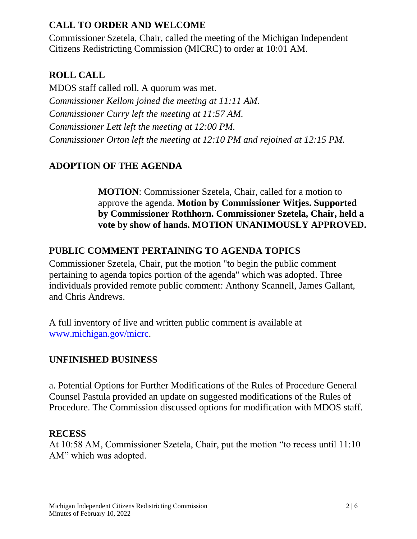### **CALL TO ORDER AND WELCOME**

Commissioner Szetela, Chair, called the meeting of the Michigan Independent Citizens Redistricting Commission (MICRC) to order at 10:01 AM.

## **ROLL CALL**

MDOS staff called roll. A quorum was met. *Commissioner Kellom joined the meeting at 11:11 AM. Commissioner Curry left the meeting at 11:57 AM. Commissioner Lett left the meeting at 12:00 PM. Commissioner Orton left the meeting at 12:10 PM and rejoined at 12:15 PM.*

## **ADOPTION OF THE AGENDA**

**MOTION**: Commissioner Szetela, Chair, called for a motion to approve the agenda. **Motion by Commissioner Witjes. Supported by Commissioner Rothhorn. Commissioner Szetela, Chair, held a vote by show of hands. MOTION UNANIMOUSLY APPROVED.**

### **PUBLIC COMMENT PERTAINING TO AGENDA TOPICS**

Commissioner Szetela, Chair, put the motion "to begin the public comment pertaining to agenda topics portion of the agenda" which was adopted. Three individuals provided remote public comment: Anthony Scannell, James Gallant, and Chris Andrews.

A full inventory of live and written public comment is available at [www.michigan.gov/micrc.](http://www.michigan.gov/micrc)

### **UNFINISHED BUSINESS**

a. Potential Options for Further Modifications of the Rules of Procedure General Counsel Pastula provided an update on suggested modifications of the Rules of Procedure. The Commission discussed options for modification with MDOS staff.

#### **RECESS**

At 10:58 AM, Commissioner Szetela, Chair, put the motion "to recess until 11:10 AM" which was adopted.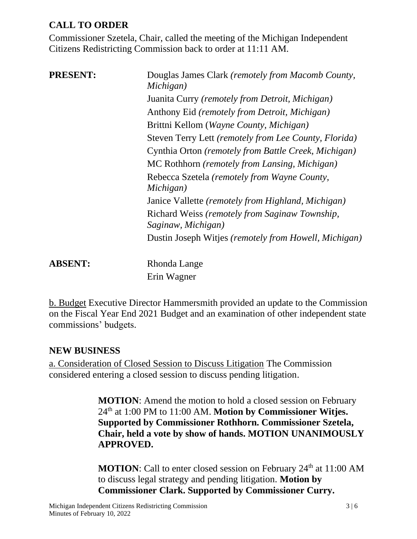## **CALL TO ORDER**

Commissioner Szetela, Chair, called the meeting of the Michigan Independent Citizens Redistricting Commission back to order at 11:11 AM.

| <b>PRESENT:</b> | Douglas James Clark (remotely from Macomb County,<br>Michigan)       |
|-----------------|----------------------------------------------------------------------|
|                 | Juanita Curry (remotely from Detroit, Michigan)                      |
|                 | Anthony Eid (remotely from Detroit, Michigan)                        |
|                 | Brittni Kellom (Wayne County, Michigan)                              |
|                 | Steven Terry Lett (remotely from Lee County, Florida)                |
|                 | Cynthia Orton (remotely from Battle Creek, Michigan)                 |
|                 | MC Rothhorn (remotely from Lansing, Michigan)                        |
|                 | Rebecca Szetela (remotely from Wayne County,<br>Michigan)            |
|                 | Janice Vallette (remotely from Highland, Michigan)                   |
|                 | Richard Weiss (remotely from Saginaw Township,<br>Saginaw, Michigan) |
|                 | Dustin Joseph Witjes (remotely from Howell, Michigan)                |
| <b>ABSENT:</b>  | Rhonda Lange                                                         |
|                 | Erin Wagner                                                          |

b. Budget Executive Director Hammersmith provided an update to the Commission on the Fiscal Year End 2021 Budget and an examination of other independent state commissions' budgets.

#### **NEW BUSINESS**

a. Consideration of Closed Session to Discuss Litigation The Commission considered entering a closed session to discuss pending litigation.

> **MOTION**: Amend the motion to hold a closed session on February 24th at 1:00 PM to 11:00 AM. **Motion by Commissioner Witjes. Supported by Commissioner Rothhorn. Commissioner Szetela, Chair, held a vote by show of hands. MOTION UNANIMOUSLY APPROVED.**

> **MOTION**: Call to enter closed session on February 24<sup>th</sup> at 11:00 AM to discuss legal strategy and pending litigation. **Motion by Commissioner Clark. Supported by Commissioner Curry.**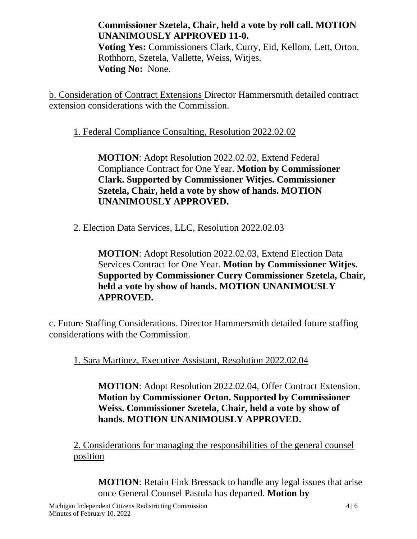**Commissioner Szetela, Chair, held a vote by roll call. MOTION UNANIMOUSLY APPROVED 11-0.** 

**Voting Yes:** Commissioners Clark, Curry, Eid, Kellom, Lett, Orton, Rothhorn, Szetela, Vallette, Weiss, Witjes. **Voting No:** None.

b. Consideration of Contract Extensions Director Hammersmith detailed contract extension considerations with the Commission.

1. Federal Compliance Consulting, Resolution 2022.02.02

**MOTION**: Adopt Resolution 2022.02.02, Extend Federal Compliance Contract for One Year. **Motion by Commissioner Clark. Supported by Commissioner Witjes. Commissioner Szetela, Chair, held a vote by show of hands. MOTION UNANIMOUSLY APPROVED.**

2. Election Data Services, LLC, Resolution 2022.02.03

**MOTION**: Adopt Resolution 2022.02.03, Extend Election Data Services Contract for One Year. **Motion by Commissioner Witjes. Supported by Commissioner Curry Commissioner Szetela, Chair, held a vote by show of hands. MOTION UNANIMOUSLY APPROVED.**

c. Future Staffing Considerations. Director Hammersmith detailed future staffing considerations with the Commission.

1. Sara Martinez, Executive Assistant, Resolution 2022.02.04

**MOTION**: Adopt Resolution 2022.02.04, Offer Contract Extension. **Motion by Commissioner Orton. Supported by Commissioner Weiss. Commissioner Szetela, Chair, held a vote by show of hands. MOTION UNANIMOUSLY APPROVED.**

2. Considerations for managing the responsibilities of the general counsel position

**MOTION**: Retain Fink Bressack to handle any legal issues that arise once General Counsel Pastula has departed. **Motion by**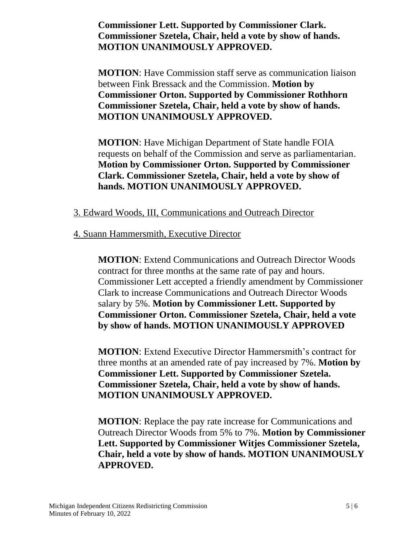**Commissioner Lett. Supported by Commissioner Clark. Commissioner Szetela, Chair, held a vote by show of hands. MOTION UNANIMOUSLY APPROVED.**

**MOTION**: Have Commission staff serve as communication liaison between Fink Bressack and the Commission. **Motion by Commissioner Orton. Supported by Commissioner Rothhorn Commissioner Szetela, Chair, held a vote by show of hands. MOTION UNANIMOUSLY APPROVED.**

**MOTION**: Have Michigan Department of State handle FOIA requests on behalf of the Commission and serve as parliamentarian. **Motion by Commissioner Orton. Supported by Commissioner Clark. Commissioner Szetela, Chair, held a vote by show of hands. MOTION UNANIMOUSLY APPROVED.**

#### 3. Edward Woods, III, Communications and Outreach Director

#### 4. Suann Hammersmith, Executive Director

**MOTION**: Extend Communications and Outreach Director Woods contract for three months at the same rate of pay and hours. Commissioner Lett accepted a friendly amendment by Commissioner Clark to increase Communications and Outreach Director Woods salary by 5%. **Motion by Commissioner Lett. Supported by Commissioner Orton. Commissioner Szetela, Chair, held a vote by show of hands. MOTION UNANIMOUSLY APPROVED**

**MOTION**: Extend Executive Director Hammersmith's contract for three months at an amended rate of pay increased by 7%. **Motion by Commissioner Lett. Supported by Commissioner Szetela. Commissioner Szetela, Chair, held a vote by show of hands. MOTION UNANIMOUSLY APPROVED.**

**MOTION**: Replace the pay rate increase for Communications and Outreach Director Woods from 5% to 7%. **Motion by Commissioner Lett. Supported by Commissioner Witjes Commissioner Szetela, Chair, held a vote by show of hands. MOTION UNANIMOUSLY APPROVED.**